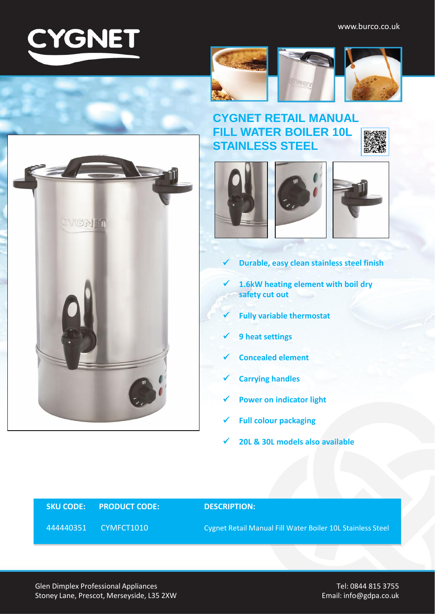

















- **Durable, easy clean stainless steel finish**
- **1.6kW heating element with boil dry safety cut out**
- **Fully variable thermostat**
- **9 heat settings**
- **Concealed element**
- **Carrying handles**
- **Power on indicator light**
- **Full colour packaging**
- **20L & 30L models also available**

## **SKU CODE: PRODUCT CODE: DESCRIPTION:**

444440351 CYMFCT1010 Cygnet Retail Manual Fill Water Boiler 10L Stainless Steel

Glen Dimplex Professional Appliances Stoney Lane, Prescot, Merseyside, L35 2XW

Tel: 0844 815 3755 Email: info@gdpa.co.uk